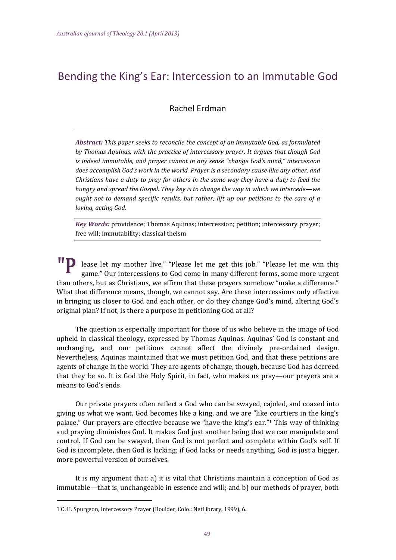# Bending the King's Ear: Intercession to an Immutable God

# Rachel Erdman

*Abstract: This paper seeks to reconcile the concept of an immutable God, as formulated by Thomas Aquinas, with the practice of intercessory prayer. It argues that though God is indeed immutable, and prayer cannot in any sense "change God's mind," intercession does accomplish God's work in the world. Prayer is a secondary cause like any other, and Christians have a duty to pray for others in the same way they have a duty to feed the hungry and spread the Gospel. They key is to change the way in which we intercede—we ought not to demand specific results, but rather, lift up our petitions to the care of a loving, acting God.*

*Key Words:* providence; Thomas Aquinas; intercession; petition; intercessory prayer; free will; immutability; classical theism

lease let my mother live." "Please let me get this job." "Please let me win this game." Our intercessions to God come in many different forms, some more urgent than others, but as Christians, we affirm that these prayers somehow "make a difference." What that difference means, though, we cannot say. Are these intercessions only effective in bringing us closer to God and each other, or do they change God's mind, altering God's original plan? If not, is there a purpose in petitioning God at all?

The question is especially important for those of us who believe in the image of God upheld in classical theology, expressed by Thomas Aquinas. Aquinas' God is constant and unchanging, and our petitions cannot affect the divinely pre-ordained design. Nevertheless, Aquinas maintained that we must petition God, and that these petitions are agents of change in the world. They are agents of change, though, because God has decreed that they be so. It is God the Holy Spirit, in fact, who makes us pray—our prayers are a means to God's ends.

Our private prayers often reflect a God who can be swayed, cajoled, and coaxed into giving us what we want. God becomes like a king, and we are "like courtiers in the king's palace." Our prayers are effective because we "have the king's ear."<sup>1</sup> This way of thinking and praying diminishes God. It makes God just another being that we can manipulate and control. If God can be swayed, then God is not perfect and complete within God's self. If God is incomplete, then God is lacking; if God lacks or needs anything, God is just a bigger, more powerful version of ourselves.

It is my argument that: a) it is vital that Christians maintain a conception of God as immutable—that is, unchangeable in essence and will; and b) our methods of prayer, both

<sup>1</sup> C. H. Spurgeon, Intercessory Prayer (Boulder, Colo.: NetLibrary, 1999), 6.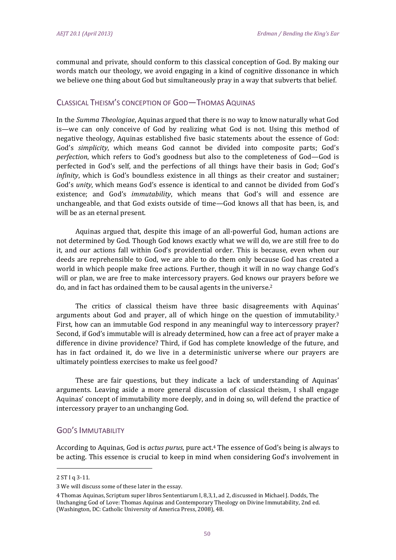communal and private, should conform to this classical conception of God. By making our words match our theology, we avoid engaging in a kind of cognitive dissonance in which we believe one thing about God but simultaneously pray in a way that subverts that belief.

# CLASSICAL THEISM'S CONCEPTION OF GOD—THOMAS AQUINAS

In the *Summa Theologiae*, Aquinas argued that there is no way to know naturally what God is—we can only conceive of God by realizing what God is not. Using this method of negative theology, Aquinas established five basic statements about the essence of God: God's *simplicity*, which means God cannot be divided into composite parts; God's *perfection*, which refers to God's goodness but also to the completeness of God—God is perfected in God's self, and the perfections of all things have their basis in God; God's *infinity*, which is God's boundless existence in all things as their creator and sustainer; God's *unity*, which means God's essence is identical to and cannot be divided from God's existence; and God's *immutability*, which means that God's will and essence are unchangeable, and that God exists outside of time—God knows all that has been, is, and will be as an eternal present.

Aquinas argued that, despite this image of an all-powerful God, human actions are not determined by God. Though God knows exactly what we will do, we are still free to do it, and our actions fall within God's providential order. This is because, even when our deeds are reprehensible to God, we are able to do them only because God has created a world in which people make free actions. Further, though it will in no way change God's will or plan, we are free to make intercessory prayers. God knows our prayers before we do, and in fact has ordained them to be causal agents in the universe.<sup>2</sup>

The critics of classical theism have three basic disagreements with Aquinas' arguments about God and prayer, all of which hinge on the question of immutability.<sup>3</sup> First, how can an immutable God respond in any meaningful way to intercessory prayer? Second, if God's immutable will is already determined, how can a free act of prayer make a difference in divine providence? Third, if God has complete knowledge of the future, and has in fact ordained it, do we live in a deterministic universe where our prayers are ultimately pointless exercises to make us feel good?

These are fair questions, but they indicate a lack of understanding of Aquinas' arguments. Leaving aside a more general discussion of classical theism. I shall engage Aquinas' concept of immutability more deeply, and in doing so, will defend the practice of intercessory prayer to an unchanging God.

#### GOD'S IMMUTABILITY

According to Aquinas, God is *actus purus*, pure act.<sup>4</sup> The essence of God's being is always to be acting. This essence is crucial to keep in mind when considering God's involvement in

 $2STIq3-11.$ 

<sup>3</sup> We will discuss some of these later in the essay.

<sup>4</sup> Thomas Aquinas, Scriptum super libros Sententiarum I, 8,3,1, ad 2, discussed in Michael I, Dodds, The Unchanging God of Love: Thomas Aquinas and Contemporary Theology on Divine Immutability, 2nd ed. (Washington, DC: Catholic University of America Press, 2008), 48.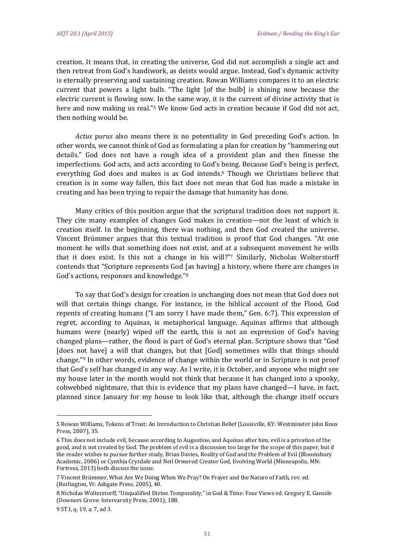creation. It means that, in creating the universe, God did not accomplish a single act and then retreat from God's handiwork, as deists would argue. Instead, God's dynamic activity is eternally preserving and sustaining creation. Rowan Williams compares it to an electric current that powers a light bulb. "The light [of the bulb] is shining now because the electric current is flowing now. In the same way, it is the current of divine activity that is here and now making us real."<sup>5</sup> We know God acts in creation because if God did not act, then nothing would be.

*Actus* purus also means there is no potentiality in God preceding God's action. In other words, we cannot think of God as formulating a plan for creation by "hammering out details." God does not have a rough idea of a provident plan and then finesse the imperfections. God acts, and acts according to God's being. Because God's being is perfect, everything God does and makes is as God intends.<sup>6</sup> Though we Christians believe that creation is in some way fallen, this fact does not mean that God has made a mistake in creating and has been trying to repair the damage that humanity has done.

Many critics of this position argue that the scriptural tradition does not support it. They cite many examples of changes God makes in creation—not the least of which is creation itself. In the beginning, there was nothing, and then God created the universe. Vincent Brümmer argues that this textual tradition is proof that God changes. "At one moment he wills that something does not exist, and at a subsequent movement he wills that it does exist. Is this not a change in his will?"7 Similarly, Nicholas Wolterstorff contends that "Scripture represents God [as having] a history, where there are changes in God's actions, responses and knowledge."<sup>8</sup>

To say that God's design for creation is unchanging does not mean that God does not will that certain things change. For instance, in the biblical account of the Flood, God repents of creating humans  $("I am sorry I have made them," Gen. 6:7]. This expression of$ regret, according to Aquinas, is metaphorical language. Aquinas affirms that although humans were (nearly) wiped off the earth, this is not an expression of God's having changed plans—rather, the flood is part of God's eternal plan. Scripture shows that "God [does not have] a will that changes, but that [God] sometimes wills that things should change."<sup>9</sup> In other words, evidence of change within the world or in Scripture is not proof that God's self has changed in any way. As I write, it is October, and anyone who might see my house later in the month would not think that because it has changed into a spooky, cobwebbed nightmare, that this is evidence that my plans have changed—I have, in fact, planned since January for my house to look like that, although the change itself occurs

<sup>5</sup> Rowan Williams, Tokens of Trust: An Introduction to Christian Belief (Louisville, KY: Westminster John Knox Press, 2007), 35.

<sup>6</sup> This does not include evil, because according to Augustine, and Aquinas after him, evil is a privation of the good, and is not created by God. The problem of evil is a discussion too large for the scope of this paper, but if the reader wishes to pursue further study, Brian Davies, Reality of God and the Problem of Evil (Bloomsbury Academic, 2006) or Cynthia Crysdale and Neil Ormerod Creator God, Evolving World (Minneapolis, MN: Fortress, 2013) both discuss the issue.

<sup>7</sup> Vincent Brümmer, What Are We Doing When We Pray? On Prayer and the Nature of Faith, rev. ed. (Burlington, Vt: Ashgate Press, 2005), 40.

<sup>8</sup> Nicholas Wolterstorff. "Unqualified Divine Temporality," in God & Time: Four Views ed. Gregory E. Ganssle (Downers Grove: Intervarsity Press, 2001), 188.

<sup>9</sup> ST I, q. 19, a. 7, ad 3.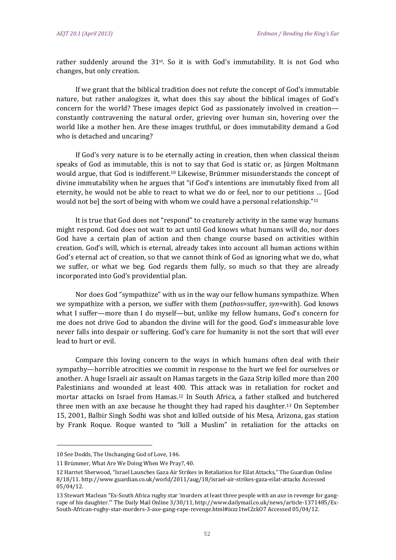rather suddenly around the 31<sup>st</sup>. So it is with God's immutability. It is not God who changes, but only creation.

If we grant that the biblical tradition does not refute the concept of God's immutable nature, but rather analogizes it, what does this say about the biblical images of God's concern for the world? These images depict God as passionately involved in creation constantly contravening the natural order, grieving over human sin, hovering over the world like a mother hen. Are these images truthful, or does immutability demand a God who is detached and uncaring?

If God's very nature is to be eternally acting in creation, then when classical theism speaks of God as immutable, this is not to say that God is static or, as Jürgen Moltmann would argue, that God is indifferent.<sup>10</sup> Likewise, Brümmer misunderstands the concept of divine immutability when he argues that "if God's intentions are immutably fixed from all eternity, he would not be able to react to what we do or feel, nor to our petitions ... [God would not bel the sort of being with whom we could have a personal relationship." $11$ 

It is true that God does not "respond" to creaturely activity in the same way humans might respond. God does not wait to act until God knows what humans will do, nor does God have a certain plan of action and then change course based on activities within creation. God's will, which is eternal, already takes into account all human actions within God's eternal act of creation, so that we cannot think of God as ignoring what we do, what we suffer, or what we beg. God regards them fully, so much so that they are already incorporated into God's providential plan.

Nor does God "sympathize" with us in the way our fellow humans sympathize. When we sympathize with a person, we suffer with them (*pathos*=suffer, *syn*=with). God knows what I suffer—more than I do myself—but, unlike my fellow humans, God's concern for me does not drive God to abandon the divine will for the good. God's immeasurable love never falls into despair or suffering. God's care for humanity is not the sort that will ever lead to hurt or evil.

Compare this loving concern to the ways in which humans often deal with their sympathy—horrible atrocities we commit in response to the hurt we feel for ourselves or another. A huge Israeli air assault on Hamas targets in the Gaza Strip killed more than 200 Palestinians and wounded at least 400. This attack was in retaliation for rocket and mortar attacks on Israel from Hamas.<sup>12</sup> In South Africa, a father stalked and butchered three men with an axe because he thought they had raped his daughter.<sup>13</sup> On September 15, 2001, Balbir Singh Sodhi was shot and killed outside of his Mesa, Arizona, gas station by Frank Roque. Roque wanted to "kill a Muslim" in retaliation for the attacks on

<sup>10</sup> See Dodds, The Unchanging God of Love, 146.

<sup>11</sup> Brümmer, What Are We Doing When We Pray?, 40.

<sup>12</sup> Harriet Sherwood, "Israel Launches Gaza Air Strikes in Retaliation for Eilat Attacks," The Guardian Online 8/18/11. http://www.guardian.co.uk/world/2011/aug/18/israel-air-strikes-gaza-eilat-attacks Accessed 05/04/12. 

<sup>13</sup> Stewart Maclean "Ex-South Africa rugby star 'murders at least three people with an axe in revenge for gangrape of his daughter." The Daily Mail Online  $3/30/11$ , http://www.dailymail.co.uk/news/article-1371485/Ex-South‐African‐rugby‐star‐murders‐3‐axe‐gang‐rape‐revenge.html#ixzz1twI2zkO7 Accessed 05/04/12.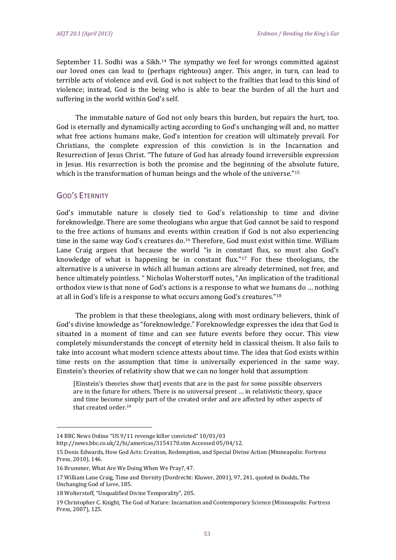September 11. Sodhi was a Sikh.<sup>14</sup> The sympathy we feel for wrongs committed against our loved ones can lead to (perhaps righteous) anger. This anger, in turn, can lead to terrible acts of violence and evil. God is not subject to the frailties that lead to this kind of violence; instead, God is the being who is able to bear the burden of all the hurt and suffering in the world within God's self.

The immutable nature of God not only bears this burden, but repairs the hurt, too. God is eternally and dynamically acting according to God's unchanging will and, no matter what free actions humans make, God's intention for creation will ultimately prevail. For Christians, the complete expression of this conviction is in the Incarnation and Resurrection of Jesus Christ. "The future of God has already found irreversible expression in Jesus. His resurrection is both the promise and the beginning of the absolute future, which is the transformation of human beings and the whole of the universe."<sup>15</sup>

#### GOD'S ETERNITY

God's immutable nature is closely tied to God's relationship to time and divine foreknowledge. There are some theologians who argue that God cannot be said to respond to the free actions of humans and events within creation if God is not also experiencing time in the same way God's creatures do.<sup>16</sup> Therefore, God must exist within time. William Lane Craig argues that because the world "is in constant flux, so must also God's knowledge of what is happening be in constant flux."<sup>17</sup> For these theologians, the alternative is a universe in which all human actions are already determined, not free, and hence ultimately pointless. " Nicholas Wolterstorff notes, "An implication of the traditional orthodox view is that none of God's actions is a response to what we humans do ... nothing at all in God's life is a response to what occurs among God's creatures." $18$ 

The problem is that these theologians, along with most ordinary believers, think of God's divine knowledge as "foreknowledge." Foreknowledge expresses the idea that God is situated in a moment of time and can see future events before they occur. This view completely misunderstands the concept of eternity held in classical theism. It also fails to take into account what modern science attests about time. The idea that God exists within time rests on the assumption that time is universally experienced in the same way. Einstein's theories of relativity show that we can no longer hold that assumption:

[Einstein's theories show that] events that are in the past for some possible observers are in the future for others. There is no universal present ... in relativistic theory, space and time become simply part of the created order and are affected by other aspects of that created order.<sup>19</sup>

<sup>14</sup> BBC News Online "US 9/11 revenge killer convicted" 10/01/03

http://news.bbc.co.uk/2/hi/americas/3154170.stm Accessed 05/04/12.

<sup>15</sup> Denis Edwards, How God Acts: Creation, Redemption, and Special Divine Action (Minneapolis: Fortress Press, 2010), 146.

<sup>16</sup> Brummer, What Are We Doing When We Pray?, 47.

<sup>17</sup> William Lane Craig, Time and Eternity (Dordrecht: Kluwer, 2001), 97, 241, quoted in Dodds, The Unchanging God of Love, 185.

<sup>18</sup> Wolterstoff, "Unqualified Divine Temporality", 205.

<sup>19</sup> Christopher C. Knight, The God of Nature: Incarnation and Contemporary Science (Minneapolis: Fortress Press, 2007), 125.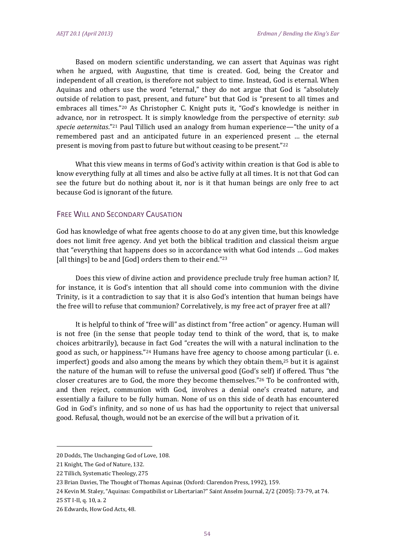Based on modern scientific understanding, we can assert that Aquinas was right when he argued, with Augustine, that time is created, God, being the Creator and independent of all creation, is therefore not subject to time. Instead, God is eternal. When Aquinas and others use the word "eternal," they do not argue that God is "absolutely outside of relation to past, present, and future" but that God is "present to all times and embraces all times."<sup>20</sup> As Christopher C. Knight puts it, "God's knowledge is neither in advance, nor in retrospect. It is simply knowledge from the perspective of eternity: *sub* specie aeternitas."<sup>21</sup> Paul Tillich used an analogy from human experience—"the unity of a remembered past and an anticipated future in an experienced present ... the eternal present is moving from past to future but without ceasing to be present." $22$ 

What this view means in terms of God's activity within creation is that God is able to know everything fully at all times and also be active fully at all times. It is not that God can see the future but do nothing about it, nor is it that human beings are only free to act because God is ignorant of the future.

# FREE WILL AND SECONDARY CAUSATION

God has knowledge of what free agents choose to do at any given time, but this knowledge does not limit free agency. And yet both the biblical tradition and classical theism argue that "everything that happens does so in accordance with what God intends ... God makes [all things] to be and  $[God]$  orders them to their end."<sup>23</sup>

Does this view of divine action and providence preclude truly free human action? If, for instance, it is God's intention that all should come into communion with the divine Trinity, is it a contradiction to say that it is also God's intention that human beings have the free will to refuse that communion? Correlatively, is my free act of prayer free at all?

It is helpful to think of "free will" as distinct from "free action" or agency. Human will is not free (in the sense that people today tend to think of the word, that is, to make choices arbitrarily), because in fact God "creates the will with a natural inclination to the good as such, or happiness."<sup>24</sup> Humans have free agency to choose among particular (i. e. imperfect) goods and also among the means by which they obtain them, $25$  but it is against the nature of the human will to refuse the universal good (God's self) if offered. Thus "the closer creatures are to God, the more they become themselves."<sup>26</sup> To be confronted with, and then reject, communion with God, involves a denial one's created nature, and essentially a failure to be fully human. None of us on this side of death has encountered God in God's infinity, and so none of us has had the opportunity to reject that universal good. Refusal, though, would not be an exercise of the will but a privation of it.

<sup>20</sup> Dodds, The Unchanging God of Love, 108.

<sup>21</sup> Knight, The God of Nature, 132.

<sup>22</sup> Tillich, Systematic Theology, 275

<sup>23</sup> Brian Davies, The Thought of Thomas Aquinas (Oxford: Clarendon Press, 1992), 159.

<sup>24</sup> Kevin M. Staley, "Aquinas: Compatibilist or Libertarian?" Saint Anselm Journal, 2/2 (2005): 73-79, at 74.

<sup>25</sup> ST I-II, q. 10, a. 2

<sup>26</sup> Edwards, How God Acts, 48.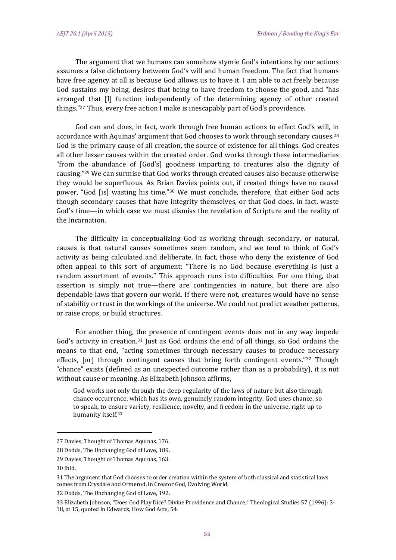The argument that we humans can somehow stymie God's intentions by our actions assumes a false dichotomy between God's will and human freedom. The fact that humans have free agency at all is because God allows us to have it. I am able to act freely because God sustains my being, desires that being to have freedom to choose the good, and "has arranged that III function independently of the determining agency of other created things."<sup>27</sup> Thus, every free action I make is inescapably part of God's providence.

God can and does, in fact, work through free human actions to effect God's will, in accordance with Aquinas' argument that God chooses to work through secondary causes.<sup>28</sup> God is the primary cause of all creation, the source of existence for all things. God creates all other lesser causes within the created order. God works through these intermediaries "from the abundance of [God's] goodness imparting to creatures also the dignity of causing."<sup>29</sup> We can surmise that God works through created causes also because otherwise they would be superfluous. As Brian Davies points out, if created things have no causal power, "God [is] wasting his time."<sup>30</sup> We must conclude, therefore, that either God acts though secondary causes that have integrity themselves, or that God does, in fact, waste God's time—in which case we must dismiss the revelation of Scripture and the reality of the Incarnation.

The difficulty in conceptualizing God as working through secondary, or natural, causes is that natural causes sometimes seem random, and we tend to think of God's activity as being calculated and deliberate. In fact, those who deny the existence of God often appeal to this sort of argument: "There is no God because everything is just a random assortment of events." This approach runs into difficulties. For one thing, that assertion is simply not true—there are contingencies in nature, but there are also dependable laws that govern our world. If there were not, creatures would have no sense of stability or trust in the workings of the universe. We could not predict weather patterns, or raise crops, or build structures.

For another thing, the presence of contingent events does not in any way impede God's activity in creation.<sup>31</sup> Just as God ordains the end of all things, so God ordains the means to that end, "acting sometimes through necessary causes to produce necessary effects,  $[or]$  through contingent causes that bring forth contingent events." $32$  Though "chance" exists (defined as an unexpected outcome rather than as a probability), it is not without cause or meaning. As Elizabeth Johnson affirms,

God works not only through the deep regularity of the laws of nature but also through chance occurrence, which has its own, genuinely random integrity. God uses chance, so to speak, to ensure variety, resilience, novelty, and freedom in the universe, right up to humanity itself.<sup>33</sup>

 

32 Dodds. The Unchanging God of Love, 192.

<sup>27</sup> Davies, Thought of Thomas Aquinas, 176.

<sup>28</sup> Dodds, The Unchanging God of Love, 189.

<sup>29</sup> Davies, Thought of Thomas Aquinas, 163.

<sup>30</sup> Ibid. 

<sup>31</sup> The argument that God chooses to order creation within the system of both classical and statistical laws comes from Crysdale and Ormerod, in Creator God, Evolving World.

<sup>33</sup> Elizabeth Johnson, "Does God Play Dice? Divine Providence and Chance," Theological Studies 57 (1996): 3-18, at 15, quoted in Edwards, How God Acts, 54.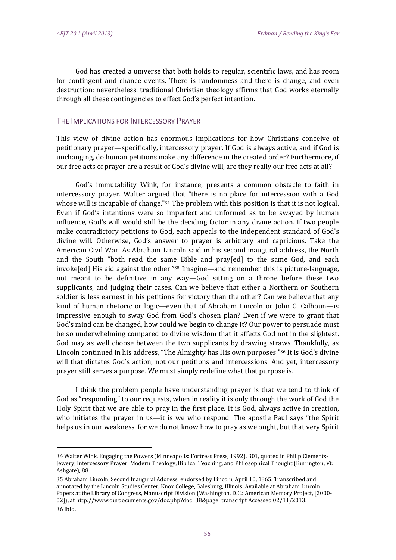God has created a universe that both holds to regular, scientific laws, and has room for contingent and chance events. There is randomness and there is change, and even destruction: nevertheless, traditional Christian theology affirms that God works eternally through all these contingencies to effect God's perfect intention.

#### THE IMPLICATIONS FOR INTERCESSORY PRAYER

This view of divine action has enormous implications for how Christians conceive of petitionary prayer—specifically, intercessory prayer. If God is always active, and if God is unchanging, do human petitions make any difference in the created order? Furthermore, if our free acts of prayer are a result of God's divine will, are they really our free acts at all?

God's immutability Wink, for instance, presents a common obstacle to faith in intercessory prayer. Walter argued that "there is no place for intercession with a God whose will is incapable of change." $34$  The problem with this position is that it is not logical. Even if God's intentions were so imperfect and unformed as to be swayed by human influence, God's will would still be the deciding factor in any divine action. If two people make contradictory petitions to God, each appeals to the independent standard of God's divine will. Otherwise, God's answer to prayer is arbitrary and capricious. Take the American Civil War. As Abraham Lincoln said in his second inaugural address, the North and the South "both read the same Bible and pray[ed] to the same God, and each  $invoke[ed]$  His aid against the other."<sup>35</sup> Imagine—and remember this is picture-language, not meant to be definitive in any way—God sitting on a throne before these two supplicants, and judging their cases. Can we believe that either a Northern or Southern soldier is less earnest in his petitions for victory than the other? Can we believe that any kind of human rhetoric or logic—even that of Abraham Lincoln or John C. Calhoun—is impressive enough to sway God from God's chosen plan? Even if we were to grant that God's mind can be changed, how could we begin to change it? Our power to persuade must be so underwhelming compared to divine wisdom that it affects God not in the slightest. God may as well choose between the two supplicants by drawing straws. Thankfully, as Lincoln continued in his address, "The Almighty has His own purposes."<sup>36</sup> It is God's divine will that dictates God's action, not our petitions and intercessions. And yet, intercessory prayer still serves a purpose. We must simply redefine what that purpose is.

I think the problem people have understanding prayer is that we tend to think of God as "responding" to our requests, when in reality it is only through the work of God the Holy Spirit that we are able to pray in the first place. It is God, always active in creation, who initiates the prayer in us—it is we who respond. The apostle Paul says "the Spirit helps us in our weakness, for we do not know how to pray as we ought, but that very Spirit

<sup>34</sup> Walter Wink, Engaging the Powers (Minneapolis: Fortress Press, 1992), 301, quoted in Philip Clements-Jewery, Intercessory Prayer: Modern Theology, Biblical Teaching, and Philosophical Thought (Burlington, Vt: Ashgate), 88.

<sup>35</sup> Abraham Lincoln, Second Inaugural Address; endorsed by Lincoln, April 10, 1865. Transcribed and annotated by the Lincoln Studies Center, Knox College, Galesburg, Illinois. Available at Abraham Lincoln Papers at the Library of Congress, Manuscript Division (Washington, D.C.: American Memory Project, [2000-02]), at http://www.ourdocuments.gov/doc.php?doc=38&page=transcript Accessed 02/11/2013.

<sup>36</sup> Ibid.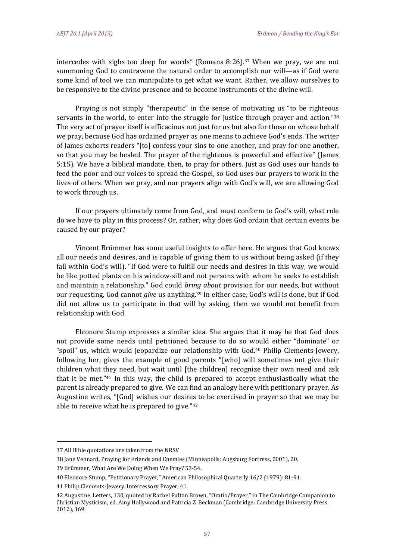intercedes with sighs too deep for words" (Romans 8:26).<sup>37</sup> When we pray, we are not summoning God to contravene the natural order to accomplish our will—as if God were some kind of tool we can manipulate to get what we want. Rather, we allow ourselves to be responsive to the divine presence and to become instruments of the divine will.

Praying is not simply "therapeutic" in the sense of motivating us "to be righteous servants in the world, to enter into the struggle for justice through prayer and action."38 The very act of prayer itself is efficacious not just for us but also for those on whose behalf we pray, because God has ordained prayer as one means to achieve God's ends. The writer of James exhorts readers "[to] confess your sins to one another, and pray for one another, so that you may be healed. The prayer of the righteous is powerful and effective" (James 5:15). We have a biblical mandate, then, to pray for others. Just as God uses our hands to feed the poor and our voices to spread the Gospel, so God uses our prayers to work in the lives of others. When we pray, and our prayers align with God's will, we are allowing God to work through us.

If our prayers ultimately come from God, and must conform to God's will, what role do we have to play in this process? Or, rather, why does God ordain that certain events be caused by our prayer?

Vincent Brümmer has some useful insights to offer here. He argues that God knows all our needs and desires, and is capable of giving them to us without being asked (if they fall within God's will). "If God were to fulfill our needs and desires in this way, we would be like potted plants on his window-sill and not persons with whom he seeks to establish and maintain a relationship." God could *bring about* provision for our needs, but without our requesting, God cannot *give* us anything.<sup>39</sup> In either case, God's will is done, but if God did not allow us to participate in that will by asking, then we would not benefit from relationship with God.

Eleonore Stump expresses a similar idea. She argues that it may be that God does not provide some needs until petitioned because to do so would either "dominate" or "spoil" us, which would jeopardize our relationship with God.<sup>40</sup> Philip Clements-Jewery, following her, gives the example of good parents "[who] will sometimes not give their children what they need, but wait until [the children] recognize their own need and ask that it be met."<sup>41</sup> In this way, the child is prepared to accept enthusiastically what the parent is already prepared to give. We can find an analogy here with petitionary prayer. As Augustine writes, "[God] wishes our desires to be exercised in prayer so that we may be able to receive what he is prepared to give." $42$ 

<sup>37</sup> All Bible quotations are taken from the NRSV

<sup>38</sup> Jane Vennard, Praying for Friends and Enemies (Minneapolis: Augsburg Fortress, 2001), 20.

<sup>39</sup> Brümmer, What Are We Doing When We Pray? 53-54.

<sup>40</sup> Eleonore Stump, "Petitionary Prayer," American Philosophical Quarterly 16/2 (1979): 81-91.

<sup>41</sup> Philip Clements-Jewery, Intercessory Prayer, 41.

<sup>42</sup> Augustine, Letters, 130, quoted by Rachel Fulton Brown, "Oratio/Prayer," in The Cambridge Companion to Christian Mysticism, ed. Amy Hollywood and Patricia Z. Beckman (Cambridge: Cambridge University Press, 2012), 169.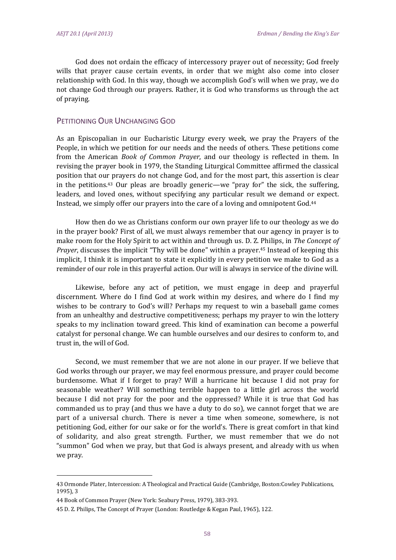God does not ordain the efficacy of intercessory prayer out of necessity; God freely wills that prayer cause certain events, in order that we might also come into closer relationship with God. In this way, though we accomplish God's will when we pray, we do not change God through our prayers. Rather, it is God who transforms us through the act of praving.

# PETITIONING OUR UNCHANGING GOD

As an Episcopalian in our Eucharistic Liturgy every week, we pray the Prayers of the People, in which we petition for our needs and the needs of others. These petitions come from the American *Book of Common Prayer*, and our theology is reflected in them. In revising the prayer book in 1979, the Standing Liturgical Committee affirmed the classical position that our prayers do not change God, and for the most part, this assertion is clear in the petitions.<sup>43</sup> Our pleas are broadly generic—we "pray for" the sick, the suffering, leaders, and loved ones, without specifying any particular result we demand or expect. Instead, we simply offer our prayers into the care of a loving and omnipotent God.<sup>44</sup>

How then do we as Christians conform our own prayer life to our theology as we do in the prayer book? First of all, we must always remember that our agency in prayer is to make room for the Holy Spirit to act within and through us. D. Z. Philips, in *The Concept of Prayer*, discusses the implicit "Thy will be done" within a prayer.<sup>45</sup> Instead of keeping this implicit, I think it is important to state it explicitly in every petition we make to God as a reminder of our role in this prayerful action. Our will is always in service of the divine will.

Likewise, before any act of petition, we must engage in deep and prayerful discernment. Where do I find God at work within my desires, and where do I find my wishes to be contrary to God's will? Perhaps my request to win a baseball game comes from an unhealthy and destructive competitiveness; perhaps my prayer to win the lottery speaks to my inclination toward greed. This kind of examination can become a powerful catalyst for personal change. We can humble ourselves and our desires to conform to, and trust in, the will of God.

Second, we must remember that we are not alone in our prayer. If we believe that God works through our prayer, we may feel enormous pressure, and prayer could become burdensome. What if I forget to pray? Will a hurricane hit because I did not pray for seasonable weather? Will something terrible happen to a little girl across the world because I did not pray for the poor and the oppressed? While it is true that God has commanded us to pray (and thus we have a duty to do so), we cannot forget that we are part of a universal church. There is never a time when someone, somewhere, is not petitioning God, either for our sake or for the world's. There is great comfort in that kind of solidarity, and also great strength. Further, we must remember that we do not "summon" God when we pray, but that God is always present, and already with us when we pray.

<sup>43</sup> Ormonde Plater, Intercession: A Theological and Practical Guide (Cambridge, Boston:Cowley Publications, 1995), 3

<sup>44</sup> Book of Common Prayer (New York: Seabury Press, 1979), 383-393.

<sup>45</sup> D. Z. Philips, The Concept of Prayer (London: Routledge & Kegan Paul, 1965), 122.